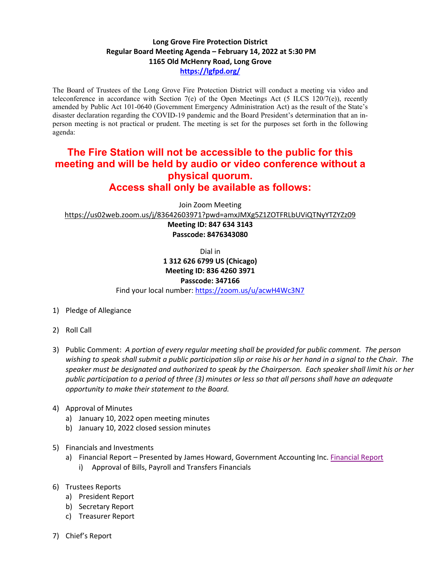## **Long Grove Fire Protection District Regular Board Meeting Agenda – February 14, 2022 at 5:30 PM 1165 Old McHenry Road, Long Grove <https://lgfpd.org/>**

The Board of Trustees of the Long Grove Fire Protection District will conduct a meeting via video and teleconference in accordance with Section 7(e) of the Open Meetings Act (5 ILCS 120/7(e)), recently amended by Public Act 101-0640 (Government Emergency Administration Act) as the result of the State's disaster declaration regarding the COVID-19 pandemic and the Board President's determination that an inperson meeting is not practical or prudent. The meeting is set for the purposes set forth in the following agenda:

## **The Fire Station will not be accessible to the public for this meeting and will be held by audio or video conference without a physical quorum. Access shall only be available as follows:**

Join Zoom Meeting

<https://us02web.zoom.us/j/83642603971?pwd=amxJMXg5Z1ZOTFRLbUViQTNyYTZYZz09>

**Meeting ID: 847 634 3143 Passcode: 8476343080**

Dial in

## **1 312 626 6799 US (Chicago) Meeting ID: 836 4260 3971**

## **Passcode: 347166**

Find your local number[: https://zoom.us/u/acwH4Wc3N7](https://zoom.us/u/acwH4Wc3N7)

- 1) Pledge of Allegiance
- 2) Roll Call
- 3) Public Comment: *A portion of every regular meeting shall be provided for public comment. The person wishing to speak shall submit a public participation slip or raise his or her hand in a signal to the Chair. The speaker must be designated and authorized to speak by the Chairperson. Each speaker shall limit his or her public participation to a period of three (3) minutes or less so that all persons shall have an adequate opportunity to make their statement to the Board.*
- 4) Approval of Minutes
	- a) January 10, 2022 open meeting minutes
	- b) January 10, 2022 closed session minutes
- 5) Financials and Investments
	- a) [Financial Report](https://itgophers.sharepoint.com/:b:/s/SharedDocs/EYFNdNcLNiBIs75AWOqzfx8Bd5wLYfkvjLsp_PS0RA42GQ?e=OJyiNu) Presented by James Howard, Government Accounting Inc. Financial Report i) Approval of Bills, Payroll and Transfers Financials
- 6) Trustees Reports
	- a) President Report
	- b) Secretary Report
	- c) Treasurer Report
- 7) Chief's Report